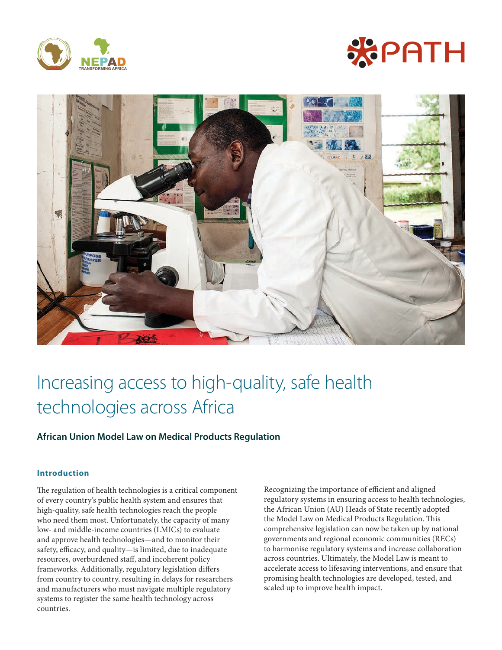





# Increasing access to high-quality, safe health technologies across Africa

# **African Union Model Law on Medical Products Regulation**

## **Introduction**

The regulation of health technologies is a critical component of every country's public health system and ensures that high-quality, safe health technologies reach the people who need them most. Unfortunately, the capacity of many low- and middle-income countries (LMICs) to evaluate and approve health technologies—and to monitor their safety, efficacy, and quality—is limited, due to inadequate resources, overburdened staff, and incoherent policy frameworks. Additionally, regulatory legislation differs from country to country, resulting in delays for researchers and manufacturers who must navigate multiple regulatory systems to register the same health technology across countries.

Recognizing the importance of efficient and aligned regulatory systems in ensuring access to health technologies, the African Union (AU) Heads of State recently adopted the Model Law on Medical Products Regulation. This comprehensive legislation can now be taken up by national governments and regional economic communities (RECs) to harmonise regulatory systems and increase collaboration across countries. Ultimately, the Model Law is meant to accelerate access to lifesaving interventions, and ensure that promising health technologies are developed, tested, and scaled up to improve health impact.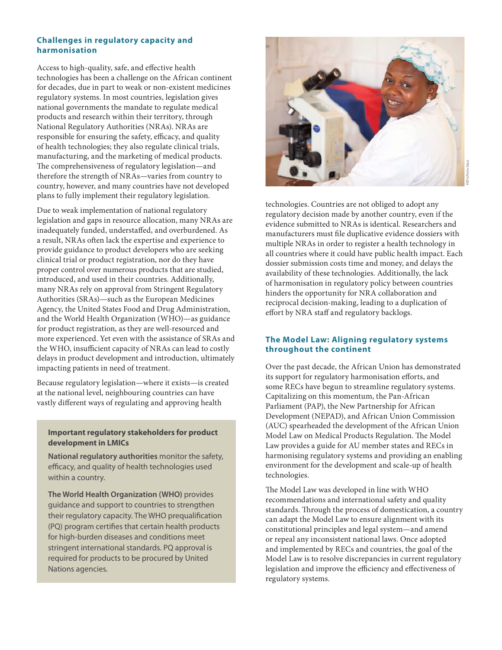#### **Challenges in regulatory capacity and harmonisation**

Access to high-quality, safe, and effective health technologies has been a challenge on the African continent for decades, due in part to weak or non-existent medicines regulatory systems. In most countries, legislation gives national governments the mandate to regulate medical products and research within their territory, through National Regulatory Authorities (NRAs). NRAs are responsible for ensuring the safety, efficacy, and quality of health technologies; they also regulate clinical trials, manufacturing, and the marketing of medical products. The comprehensiveness of regulatory legislation—and therefore the strength of NRAs—varies from country to country, however, and many countries have not developed plans to fully implement their regulatory legislation.

Due to weak implementation of national regulatory legislation and gaps in resource allocation, many NRAs are inadequately funded, understaffed, and overburdened. As a result, NRAs often lack the expertise and experience to provide guidance to product developers who are seeking clinical trial or product registration, nor do they have proper control over numerous products that are studied, introduced, and used in their countries. Additionally, many NRAs rely on approval from Stringent Regulatory Authorities (SRAs)—such as the European Medicines Agency, the United States Food and Drug Administration, and the World Health Organization (WHO)—as guidance for product registration, as they are well-resourced and more experienced. Yet even with the assistance of SRAs and the WHO, insufficient capacity of NRAs can lead to costly delays in product development and introduction, ultimately impacting patients in need of treatment.

Because regulatory legislation—where it exists—is created at the national level, neighbouring countries can have vastly different ways of regulating and approving health

### **Important regulatory stakeholders for product development in LMICs**

**National regulatory authorities** monitor the safety, efficacy, and quality of health technologies used within a country.

**The World Health Organization (WHO)** provides guidance and support to countries to strengthen their regulatory capacity. The WHO prequalification (PQ) program certifies that certain health products for high-burden diseases and conditions meet stringent international standards. PQ approval is required for products to be procured by United Nations agencies.



technologies. Countries are not obliged to adopt any regulatory decision made by another country, even if the evidence submitted to NRAs is identical. Researchers and manufacturers must file duplicative evidence dossiers with multiple NRAs in order to register a health technology in all countries where it could have public health impact. Each dossier submission costs time and money, and delays the availability of these technologies. Additionally, the lack of harmonisation in regulatory policy between countries hinders the opportunity for NRA collaboration and

reciprocal decision-making, leading to a duplication of effort by NRA staff and regulatory backlogs.

#### **The Model Law: Aligning regulatory systems throughout the continent**

Over the past decade, the African Union has demonstrated its support for regulatory harmonisation efforts, and some RECs have begun to streamline regulatory systems. Capitalizing on this momentum, the Pan-African Parliament (PAP), the New Partnership for African Development (NEPAD), and African Union Commission (AUC) spearheaded the development of the African Union Model Law on Medical Products Regulation. The Model Law provides a guide for AU member states and RECs in harmonising regulatory systems and providing an enabling environment for the development and scale-up of health technologies.

The Model Law was developed in line with WHO recommendations and international safety and quality standards. Through the process of domestication, a country can adapt the Model Law to ensure alignment with its constitutional principles and legal system—and amend or repeal any inconsistent national laws. Once adopted and implemented by RECs and countries, the goal of the Model Law is to resolve discrepancies in current regulatory legislation and improve the efficiency and effectiveness of regulatory systems.